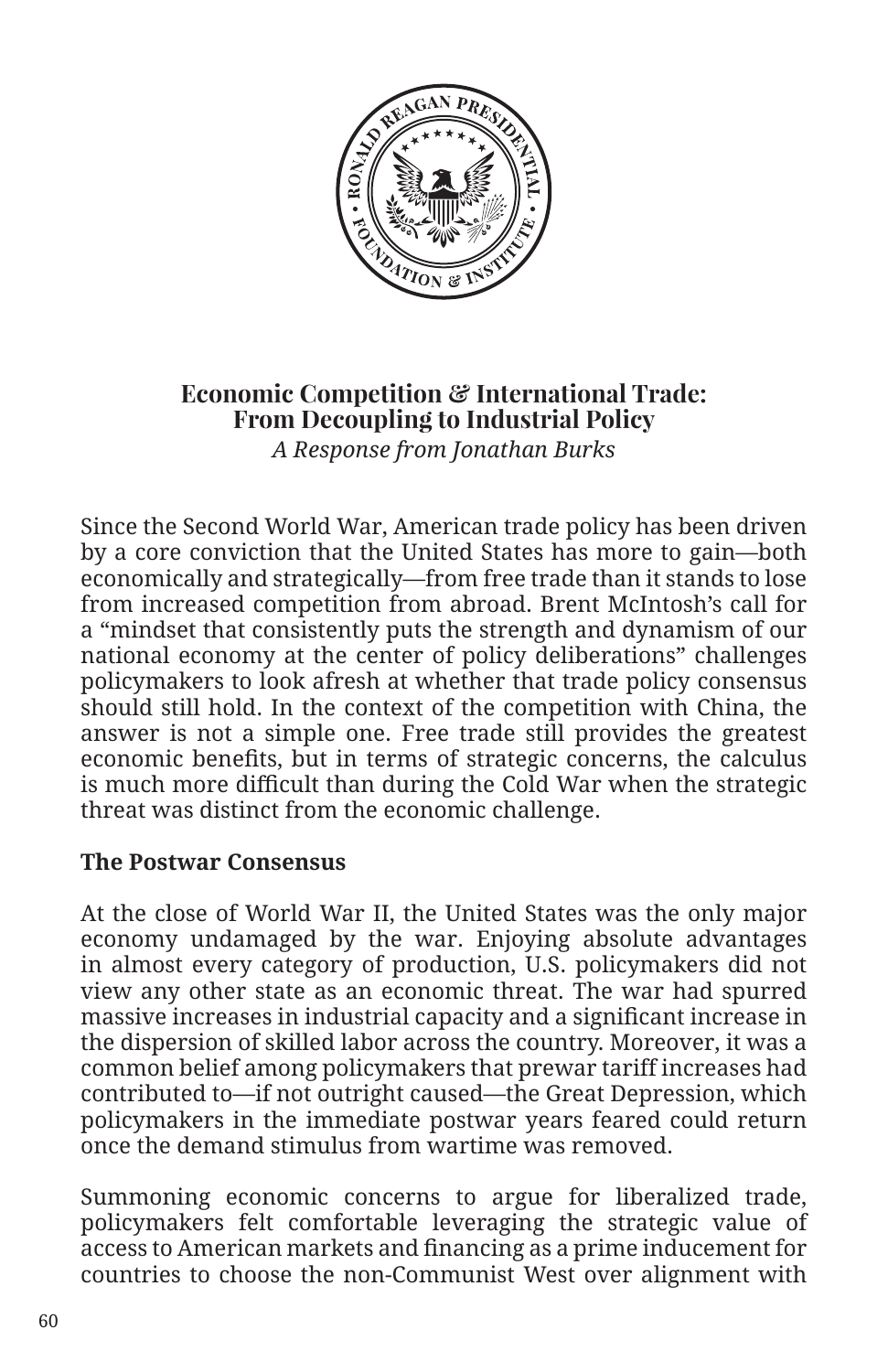

## **Economic Competition & International Trade: From Decoupling to Industrial Policy**

*A Response from Jonathan Burks*

Since the Second World War, American trade policy has been driven by a core conviction that the United States has more to gain—both economically and strategically—from free trade than it stands to lose from increased competition from abroad. Brent McIntosh's call for a "mindset that consistently puts the strength and dynamism of our national economy at the center of policy deliberations" challenges policymakers to look afresh at whether that trade policy consensus should still hold. In the context of the competition with China, the answer is not a simple one. Free trade still provides the greatest economic benefits, but in terms of strategic concerns, the calculus is much more difficult than during the Cold War when the strategic threat was distinct from the economic challenge.

## **The Postwar Consensus**

At the close of World War II, the United States was the only major economy undamaged by the war. Enjoying absolute advantages in almost every category of production, U.S. policymakers did not view any other state as an economic threat. The war had spurred massive increases in industrial capacity and a significant increase in the dispersion of skilled labor across the country. Moreover, it was a common belief among policymakers that prewar tariff increases had contributed to—if not outright caused—the Great Depression, which policymakers in the immediate postwar years feared could return once the demand stimulus from wartime was removed.

Summoning economic concerns to argue for liberalized trade, policymakers felt comfortable leveraging the strategic value of access to American markets and financing as a prime inducement for countries to choose the non-Communist West over alignment with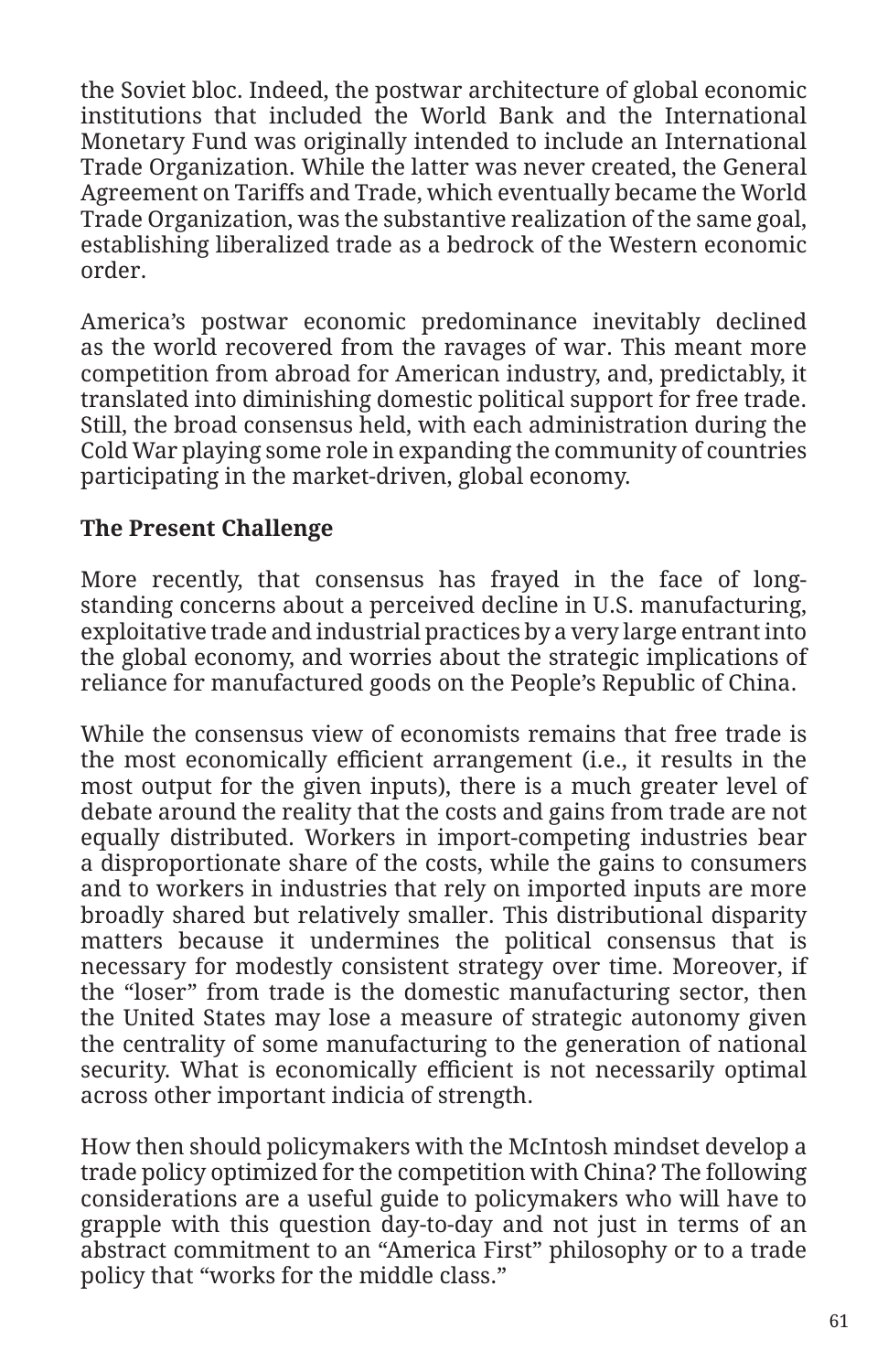the Soviet bloc. Indeed, the postwar architecture of global economic institutions that included the World Bank and the International Monetary Fund was originally intended to include an International Trade Organization. While the latter was never created, the General Agreement on Tariffs and Trade, which eventually became the World Trade Organization, was the substantive realization of the same goal, establishing liberalized trade as a bedrock of the Western economic order.

America's postwar economic predominance inevitably declined as the world recovered from the ravages of war. This meant more competition from abroad for American industry, and, predictably, it translated into diminishing domestic political support for free trade. Still, the broad consensus held, with each administration during the Cold War playing some role in expanding the community of countries participating in the market-driven, global economy.

## **The Present Challenge**

More recently, that consensus has frayed in the face of longstanding concerns about a perceived decline in U.S. manufacturing, exploitative trade and industrial practices by a very large entrant into the global economy, and worries about the strategic implications of reliance for manufactured goods on the People's Republic of China.

While the consensus view of economists remains that free trade is the most economically efficient arrangement (i.e., it results in the most output for the given inputs), there is a much greater level of debate around the reality that the costs and gains from trade are not equally distributed. Workers in import-competing industries bear a disproportionate share of the costs, while the gains to consumers and to workers in industries that rely on imported inputs are more broadly shared but relatively smaller. This distributional disparity matters because it undermines the political consensus that is necessary for modestly consistent strategy over time. Moreover, if the "loser" from trade is the domestic manufacturing sector, then the United States may lose a measure of strategic autonomy given the centrality of some manufacturing to the generation of national security. What is economically efficient is not necessarily optimal across other important indicia of strength.

How then should policymakers with the McIntosh mindset develop a trade policy optimized for the competition with China? The following considerations are a useful guide to policymakers who will have to grapple with this question day-to-day and not just in terms of an abstract commitment to an "America First" philosophy or to a trade policy that "works for the middle class."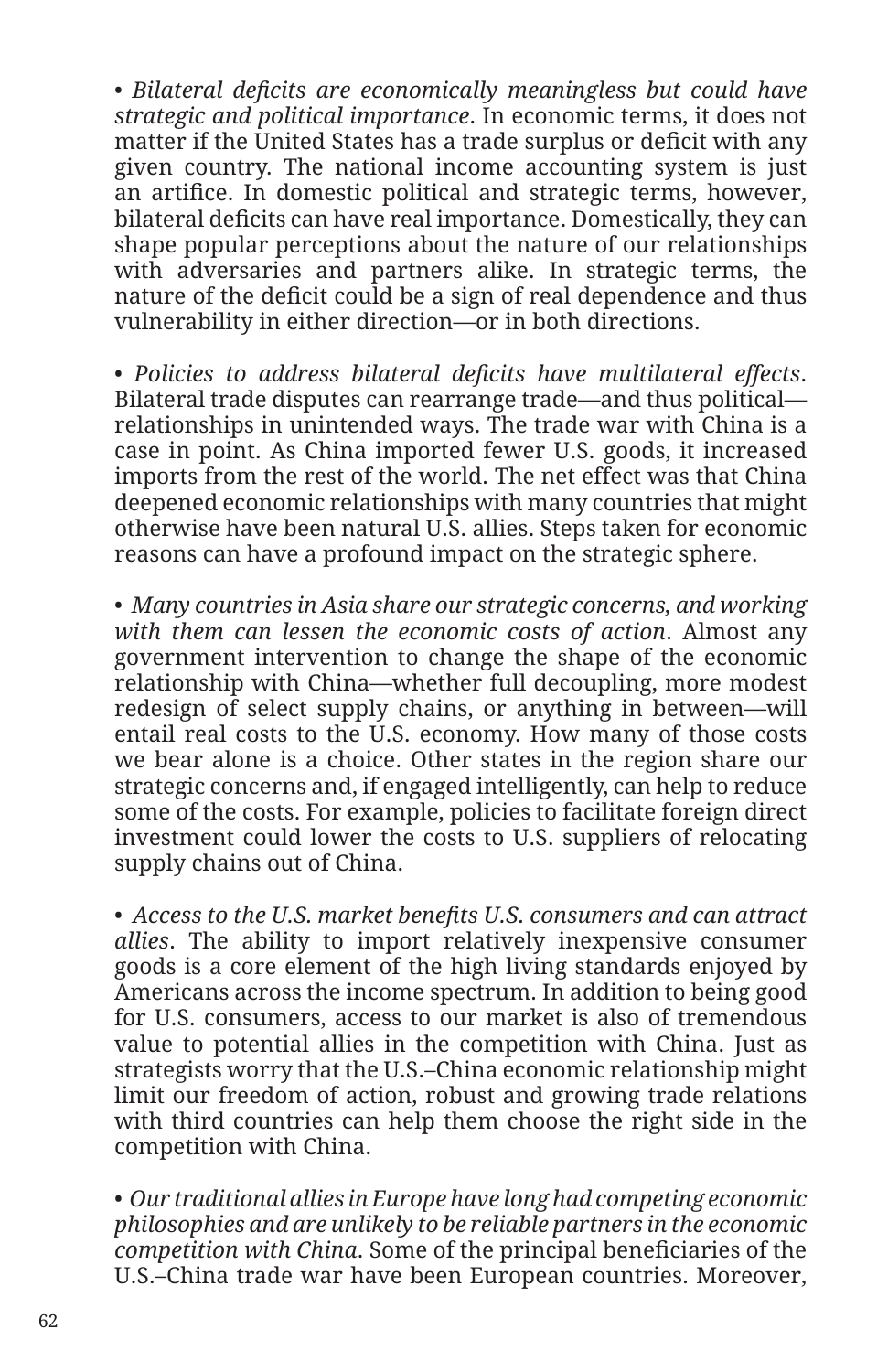• *Bilateral deficits are economically meaningless but could have strategic and political importance*. In economic terms, it does not matter if the United States has a trade surplus or deficit with any given country. The national income accounting system is just an artifice. In domestic political and strategic terms, however, bilateral deficits can have real importance. Domestically, they can shape popular perceptions about the nature of our relationships with adversaries and partners alike. In strategic terms, the nature of the deficit could be a sign of real dependence and thus vulnerability in either direction—or in both directions.

• *Policies to address bilateral deficits have multilateral effects*. Bilateral trade disputes can rearrange trade—and thus political relationships in unintended ways. The trade war with China is a case in point. As China imported fewer U.S. goods, it increased imports from the rest of the world. The net effect was that China deepened economic relationships with many countries that might otherwise have been natural U.S. allies. Steps taken for economic reasons can have a profound impact on the strategic sphere.

• *Many countries in Asia share our strategic concerns, and working with them can lessen the economic costs of action*. Almost any government intervention to change the shape of the economic relationship with China—whether full decoupling, more modest redesign of select supply chains, or anything in between—will entail real costs to the U.S. economy. How many of those costs we bear alone is a choice. Other states in the region share our strategic concerns and, if engaged intelligently, can help to reduce some of the costs. For example, policies to facilitate foreign direct investment could lower the costs to U.S. suppliers of relocating supply chains out of China.

• *Access to the U.S. market benefits U.S. consumers and can attract allies*. The ability to import relatively inexpensive consumer goods is a core element of the high living standards enjoyed by Americans across the income spectrum. In addition to being good for U.S. consumers, access to our market is also of tremendous value to potential allies in the competition with China. Just as strategists worry that the U.S.–China economic relationship might limit our freedom of action, robust and growing trade relations with third countries can help them choose the right side in the competition with China.

• *Our traditional allies in Europe have long had competing economic philosophies and are unlikely to be reliable partners in the economic competition with China*. Some of the principal beneficiaries of the U.S.–China trade war have been European countries. Moreover,